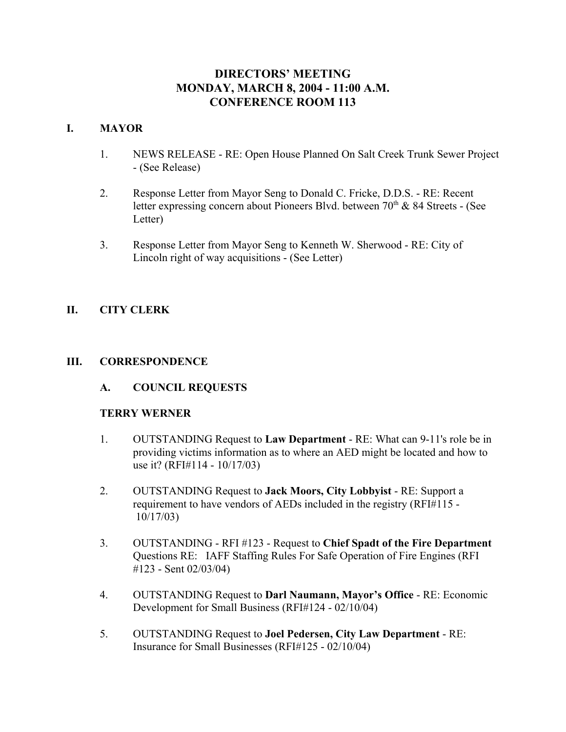# **DIRECTORS' MEETING MONDAY, MARCH 8, 2004 - 11:00 A.M. CONFERENCE ROOM 113**

# **I. MAYOR**

- 1. NEWS RELEASE RE: Open House Planned On Salt Creek Trunk Sewer Project - (See Release)
- 2. Response Letter from Mayor Seng to Donald C. Fricke, D.D.S. RE: Recent letter expressing concern about Pioneers Blvd. between  $70<sup>th</sup>$  & 84 Streets - (See Letter)
- 3. Response Letter from Mayor Seng to Kenneth W. Sherwood RE: City of Lincoln right of way acquisitions - (See Letter)

# **II. CITY CLERK**

## **III. CORRESPONDENCE**

**A. COUNCIL REQUESTS**

## **TERRY WERNER**

- 1. OUTSTANDING Request to **Law Department** RE: What can 9-11's role be in providing victims information as to where an AED might be located and how to use it? (RFI#114 - 10/17/03)
- 2. OUTSTANDING Request to **Jack Moors, City Lobbyist** RE: Support a requirement to have vendors of AEDs included in the registry (RFI#115 - 10/17/03)
- 3. OUTSTANDING RFI #123 Request to **Chief Spadt of the Fire Department** Questions RE: IAFF Staffing Rules For Safe Operation of Fire Engines (RFI #123 - Sent 02/03/04)
- 4. OUTSTANDING Request to **Darl Naumann, Mayor's Office** RE: Economic Development for Small Business (RFI#124 - 02/10/04)
- 5. OUTSTANDING Request to **Joel Pedersen, City Law Department** RE: Insurance for Small Businesses (RFI#125 - 02/10/04)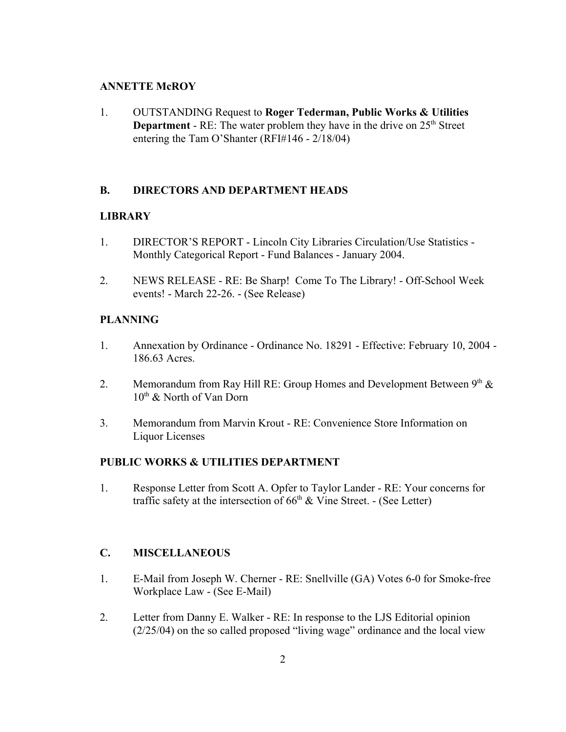#### **ANNETTE McROY**

1. OUTSTANDING Request to **Roger Tederman, Public Works & Utilities Department** - RE: The water problem they have in the drive on 25<sup>th</sup> Street entering the Tam O'Shanter (RFI#146 - 2/18/04)

## **B. DIRECTORS AND DEPARTMENT HEADS**

#### **LIBRARY**

- 1. DIRECTOR'S REPORT Lincoln City Libraries Circulation/Use Statistics Monthly Categorical Report - Fund Balances - January 2004.
- 2. NEWS RELEASE RE: Be Sharp! Come To The Library! Off-School Week events! - March 22-26. - (See Release)

## **PLANNING**

- 1. Annexation by Ordinance Ordinance No. 18291 Effective: February 10, 2004 186.63 Acres.
- 2. Memorandum from Ray Hill RE: Group Homes and Development Between  $9<sup>th</sup>$  &  $10^{th}$  & North of Van Dorn
- 3. Memorandum from Marvin Krout RE: Convenience Store Information on Liquor Licenses

#### **PUBLIC WORKS & UTILITIES DEPARTMENT**

1. Response Letter from Scott A. Opfer to Taylor Lander - RE: Your concerns for traffic safety at the intersection of  $66<sup>th</sup>$  & Vine Street. - (See Letter)

## **C. MISCELLANEOUS**

- 1. E-Mail from Joseph W. Cherner RE: Snellville (GA) Votes 6-0 for Smoke-free Workplace Law - (See E-Mail)
- 2. Letter from Danny E. Walker RE: In response to the LJS Editorial opinion (2/25/04) on the so called proposed "living wage" ordinance and the local view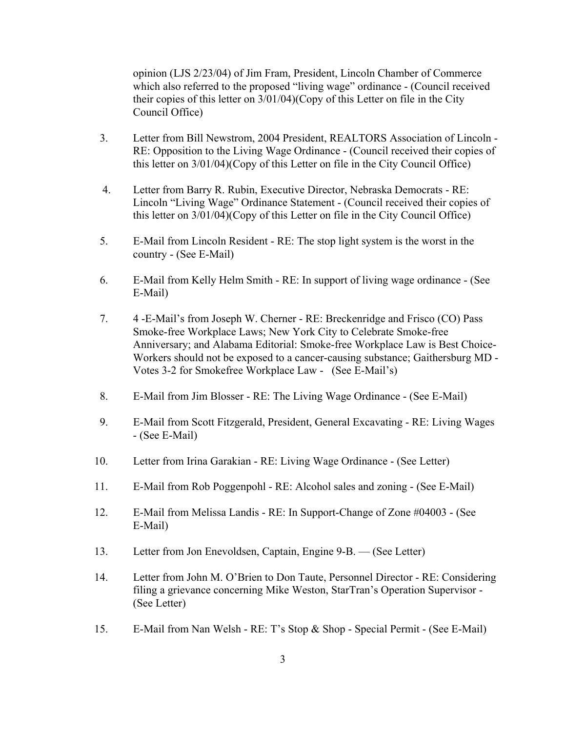opinion (LJS 2/23/04) of Jim Fram, President, Lincoln Chamber of Commerce which also referred to the proposed "living wage" ordinance - (Council received their copies of this letter on 3/01/04)(Copy of this Letter on file in the City Council Office)

- 3. Letter from Bill Newstrom, 2004 President, REALTORS Association of Lincoln RE: Opposition to the Living Wage Ordinance - (Council received their copies of this letter on 3/01/04)(Copy of this Letter on file in the City Council Office)
- 4. Letter from Barry R. Rubin, Executive Director, Nebraska Democrats RE: Lincoln "Living Wage" Ordinance Statement - (Council received their copies of this letter on 3/01/04)(Copy of this Letter on file in the City Council Office)
- 5. E-Mail from Lincoln Resident RE: The stop light system is the worst in the country - (See E-Mail)
- 6. E-Mail from Kelly Helm Smith RE: In support of living wage ordinance (See E-Mail)
- 7. 4 -E-Mail's from Joseph W. Cherner RE: Breckenridge and Frisco (CO) Pass Smoke-free Workplace Laws; New York City to Celebrate Smoke-free Anniversary; and Alabama Editorial: Smoke-free Workplace Law is Best Choice-Workers should not be exposed to a cancer-causing substance; Gaithersburg MD - Votes 3-2 for Smokefree Workplace Law - (See E-Mail's)
- 8. E-Mail from Jim Blosser RE: The Living Wage Ordinance (See E-Mail)
- 9. E-Mail from Scott Fitzgerald, President, General Excavating RE: Living Wages - (See E-Mail)
- 10. Letter from Irina Garakian RE: Living Wage Ordinance (See Letter)
- 11. E-Mail from Rob Poggenpohl RE: Alcohol sales and zoning (See E-Mail)
- 12. E-Mail from Melissa Landis RE: In Support-Change of Zone #04003 (See E-Mail)
- 13. Letter from Jon Enevoldsen, Captain, Engine 9-B. (See Letter)
- 14. Letter from John M. O'Brien to Don Taute, Personnel Director RE: Considering filing a grievance concerning Mike Weston, StarTran's Operation Supervisor - (See Letter)
- 15. E-Mail from Nan Welsh RE: T's Stop & Shop Special Permit (See E-Mail)